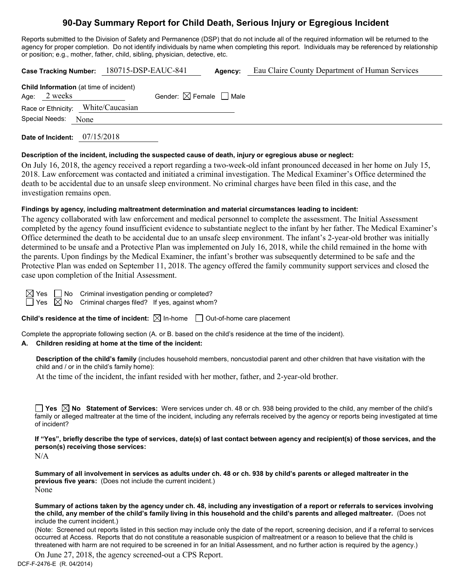# **90-Day Summary Report for Child Death, Serious Injury or Egregious Incident**

Reports submitted to the Division of Safety and Permanence (DSP) that do not include all of the required information will be returned to the agency for proper completion. Do not identify individuals by name when completing this report. Individuals may be referenced by relationship or position; e.g., mother, father, child, sibling, physician, detective, etc.

|                                                                  | Case Tracking Number: 180715-DSP-EAUC-841 | Agency: | Eau Claire County Department of Human Services |
|------------------------------------------------------------------|-------------------------------------------|---------|------------------------------------------------|
| <b>Child Information</b> (at time of incident)<br>Age: $2$ weeks | Gender: $\boxtimes$ Female $\Box$ Male    |         |                                                |
| Race or Ethnicity: White/Caucasian                               |                                           |         |                                                |
| Special Needs: None                                              |                                           |         |                                                |
|                                                                  |                                           |         |                                                |

**Date of Incident:** 07/15/2018

#### **Description of the incident, including the suspected cause of death, injury or egregious abuse or neglect:**

On July 16, 2018, the agency received a report regarding a two-week-old infant pronounced deceased in her home on July 15, 2018. Law enforcement was contacted and initiated a criminal investigation. The Medical Examiner's Office determined the death to be accidental due to an unsafe sleep environment. No criminal charges have been filed in this case, and the investigation remains open.

#### **Findings by agency, including maltreatment determination and material circumstances leading to incident:**

The agency collaborated with law enforcement and medical personnel to complete the assessment. The Initial Assessment completed by the agency found insufficient evidence to substantiate neglect to the infant by her father. The Medical Examiner's Office determined the death to be accidental due to an unsafe sleep environment. The infant's 2-year-old brother was initially determined to be unsafe and a Protective Plan was implemented on July 16, 2018, while the child remained in the home with the parents. Upon findings by the Medical Examiner, the infant's brother was subsequently determined to be safe and the Protective Plan was ended on September 11, 2018. The agency offered the family community support services and closed the case upon completion of the Initial Assessment.

 $\Box$  No Criminal investigation pending or completed?  $\boxtimes$  No Criminal charges filed? If yes, against whom?

**Child's residence at the time of incident:**  $\boxtimes$  In-home  $\Box$  Out-of-home care placement

Complete the appropriate following section (A. or B. based on the child's residence at the time of the incident).

## **A. Children residing at home at the time of the incident:**

**Description of the child's family** (includes household members, noncustodial parent and other children that have visitation with the child and / or in the child's family home):

At the time of the incident, the infant resided with her mother, father, and 2-year-old brother.

**Yes**  $\boxtimes$  **No** Statement of Services: Were services under ch. 48 or ch. 938 being provided to the child, any member of the child's family or alleged maltreater at the time of the incident, including any referrals received by the agency or reports being investigated at time of incident?

**If "Yes", briefly describe the type of services, date(s) of last contact between agency and recipient(s) of those services, and the person(s) receiving those services:**

N/A

**Summary of all involvement in services as adults under ch. 48 or ch. 938 by child's parents or alleged maltreater in the previous five years:** (Does not include the current incident.) None

**Summary of actions taken by the agency under ch. 48, including any investigation of a report or referrals to services involving the child, any member of the child's family living in this household and the child's parents and alleged maltreater.** (Does not include the current incident.)

(Note: Screened out reports listed in this section may include only the date of the report, screening decision, and if a referral to services occurred at Access. Reports that do not constitute a reasonable suspicion of maltreatment or a reason to believe that the child is threatened with harm are not required to be screened in for an Initial Assessment, and no further action is required by the agency.)

DCF-F-2476-E (R. 04/2014) On June 27, 2018, the agency screened-out a CPS Report.